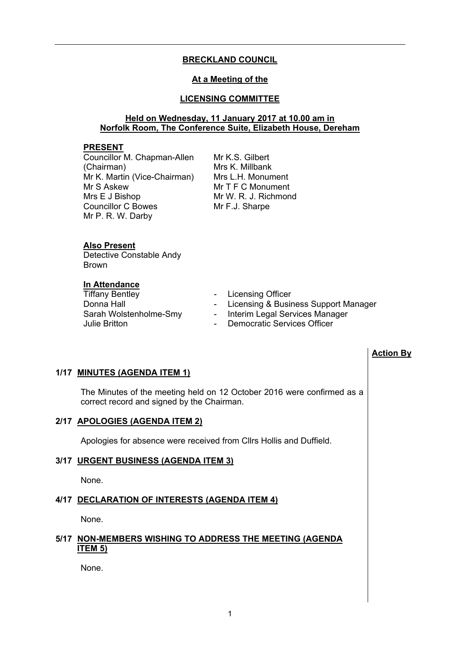# **BRECKLAND COUNCIL**

# **At a Meeting of the**

# **LICENSING COMMITTEE**

# **Held on Wednesday, 11 January 2017 at 10.00 am in Norfolk Room, The Conference Suite, Elizabeth House, Dereham**

### **PRESENT**

Councillor M. Chapman-Allen (Chairman) Mr K. Martin (Vice-Chairman) Mr S Askew Mrs E J Bishop Councillor C Bowes Mr P. R. W. Darby

Mr K.S. Gilbert Mrs K. Millbank Mrs L.H. Monument Mr T F C Monument Mr W. R. J. Richmond Mr F.J. Sharpe

#### **Also Present**

Detective Constable Andy Brown

# **In Attendance**

- Tiffany Bentley  **Licensing Officer**
- Donna Hall **Donna Hall** Licensing & Business Support Manager
- Sarah Wolstenholme-Smy Interim Legal Services Manager
- Julie Britton Democratic Services Officer

# **Action By**

#### **1/17 MINUTES (AGENDA ITEM 1)**

The Minutes of the meeting held on 12 October 2016 were confirmed as a correct record and signed by the Chairman.

### **2/17 APOLOGIES (AGENDA ITEM 2)**

Apologies for absence were received from Cllrs Hollis and Duffield.

#### **3/17 URGENT BUSINESS (AGENDA ITEM 3)**

None.

#### **4/17 DECLARATION OF INTERESTS (AGENDA ITEM 4)**

None.

### **5/17 NON-MEMBERS WISHING TO ADDRESS THE MEETING (AGENDA ITEM 5)**

None.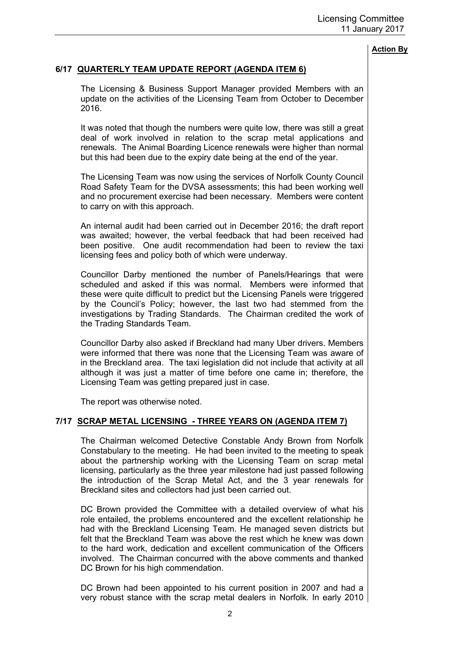# **6/17 QUARTERLY TEAM UPDATE REPORT (AGENDA ITEM 6)**

The Licensing & Business Support Manager provided Members with an update on the activities of the Licensing Team from October to December 2016.

It was noted that though the numbers were quite low, there was still a great deal of work involved in relation to the scrap metal applications and renewals. The Animal Boarding Licence renewals were higher than normal but this had been due to the expiry date being at the end of the year.

The Licensing Team was now using the services of Norfolk County Council Road Safety Team for the DVSA assessments; this had been working well and no procurement exercise had been necessary. Members were content to carry on with this approach.

An internal audit had been carried out in December 2016; the draft report was awaited; however, the verbal feedback that had been received had been positive. One audit recommendation had been to review the taxi licensing fees and policy both of which were underway.

Councillor Darby mentioned the number of Panels/Hearings that were scheduled and asked if this was normal. Members were informed that these were quite difficult to predict but the Licensing Panels were triggered by the Council's Policy; however, the last two had stemmed from the investigations by Trading Standards. The Chairman credited the work of the Trading Standards Team.

Councillor Darby also asked if Breckland had many Uber drivers. Members were informed that there was none that the Licensing Team was aware of in the Breckland area. The taxi legislation did not include that activity at all although it was just a matter of time before one came in; therefore, the Licensing Team was getting prepared just in case.

The report was otherwise noted.

# **7/17 SCRAP METAL LICENSING - THREE YEARS ON (AGENDA ITEM 7)**

The Chairman welcomed Detective Constable Andy Brown from Norfolk Constabulary to the meeting. He had been invited to the meeting to speak about the partnership working with the Licensing Team on scrap metal licensing, particularly as the three year milestone had just passed following the introduction of the Scrap Metal Act, and the 3 year renewals for Breckland sites and collectors had just been carried out.

DC Brown provided the Committee with a detailed overview of what his role entailed, the problems encountered and the excellent relationship he had with the Breckland Licensing Team. He managed seven districts but felt that the Breckland Team was above the rest which he knew was down to the hard work, dedication and excellent communication of the Officers involved. The Chairman concurred with the above comments and thanked DC Brown for his high commendation.

DC Brown had been appointed to his current position in 2007 and had a very robust stance with the scrap metal dealers in Norfolk. In early 2010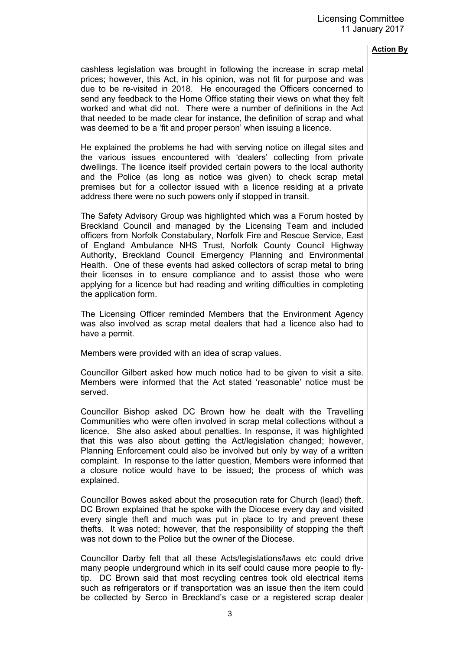cashless legislation was brought in following the increase in scrap metal prices; however, this Act, in his opinion, was not fit for purpose and was due to be re-visited in 2018. He encouraged the Officers concerned to send any feedback to the Home Office stating their views on what they felt worked and what did not. There were a number of definitions in the Act that needed to be made clear for instance, the definition of scrap and what was deemed to be a 'fit and proper person' when issuing a licence.

He explained the problems he had with serving notice on illegal sites and the various issues encountered with 'dealers' collecting from private dwellings. The licence itself provided certain powers to the local authority and the Police (as long as notice was given) to check scrap metal premises but for a collector issued with a licence residing at a private address there were no such powers only if stopped in transit.

The Safety Advisory Group was highlighted which was a Forum hosted by Breckland Council and managed by the Licensing Team and included officers from Norfolk Constabulary, Norfolk Fire and Rescue Service, East of England Ambulance NHS Trust, Norfolk County Council Highway Authority, Breckland Council Emergency Planning and Environmental Health. One of these events had asked collectors of scrap metal to bring their licenses in to ensure compliance and to assist those who were applying for a licence but had reading and writing difficulties in completing the application form.

The Licensing Officer reminded Members that the Environment Agency was also involved as scrap metal dealers that had a licence also had to have a permit.

Members were provided with an idea of scrap values.

Councillor Gilbert asked how much notice had to be given to visit a site. Members were informed that the Act stated 'reasonable' notice must be served.

Councillor Bishop asked DC Brown how he dealt with the Travelling Communities who were often involved in scrap metal collections without a licence. She also asked about penalties. In response, it was highlighted that this was also about getting the Act/legislation changed; however, Planning Enforcement could also be involved but only by way of a written complaint. In response to the latter question, Members were informed that a closure notice would have to be issued; the process of which was explained.

Councillor Bowes asked about the prosecution rate for Church (lead) theft. DC Brown explained that he spoke with the Diocese every day and visited every single theft and much was put in place to try and prevent these thefts. It was noted; however, that the responsibility of stopping the theft was not down to the Police but the owner of the Diocese.

Councillor Darby felt that all these Acts/legislations/laws etc could drive many people underground which in its self could cause more people to flytip. DC Brown said that most recycling centres took old electrical items such as refrigerators or if transportation was an issue then the item could be collected by Serco in Breckland's case or a registered scrap dealer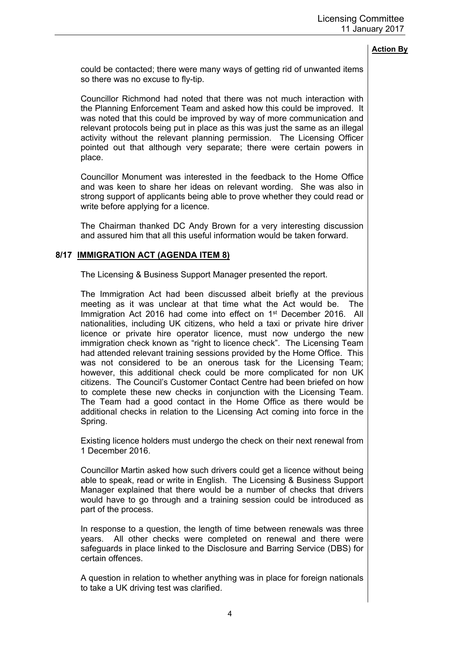could be contacted; there were many ways of getting rid of unwanted items so there was no excuse to fly-tip.

Councillor Richmond had noted that there was not much interaction with the Planning Enforcement Team and asked how this could be improved. It was noted that this could be improved by way of more communication and relevant protocols being put in place as this was just the same as an illegal activity without the relevant planning permission. The Licensing Officer pointed out that although very separate; there were certain powers in place.

Councillor Monument was interested in the feedback to the Home Office and was keen to share her ideas on relevant wording. She was also in strong support of applicants being able to prove whether they could read or write before applying for a licence.

The Chairman thanked DC Andy Brown for a very interesting discussion and assured him that all this useful information would be taken forward.

### **8/17 IMMIGRATION ACT (AGENDA ITEM 8)**

The Licensing & Business Support Manager presented the report.

The Immigration Act had been discussed albeit briefly at the previous meeting as it was unclear at that time what the Act would be. The Immigration Act 2016 had come into effect on 1<sup>st</sup> December 2016. All nationalities, including UK citizens, who held a taxi or private hire driver licence or private hire operator licence, must now undergo the new immigration check known as "right to licence check". The Licensing Team had attended relevant training sessions provided by the Home Office. This was not considered to be an onerous task for the Licensing Team; however, this additional check could be more complicated for non UK citizens. The Council's Customer Contact Centre had been briefed on how to complete these new checks in conjunction with the Licensing Team. The Team had a good contact in the Home Office as there would be additional checks in relation to the Licensing Act coming into force in the Spring.

Existing licence holders must undergo the check on their next renewal from 1 December 2016.

Councillor Martin asked how such drivers could get a licence without being able to speak, read or write in English. The Licensing & Business Support Manager explained that there would be a number of checks that drivers would have to go through and a training session could be introduced as part of the process.

In response to a question, the length of time between renewals was three years. All other checks were completed on renewal and there were safeguards in place linked to the Disclosure and Barring Service (DBS) for certain offences.

A question in relation to whether anything was in place for foreign nationals to take a UK driving test was clarified.